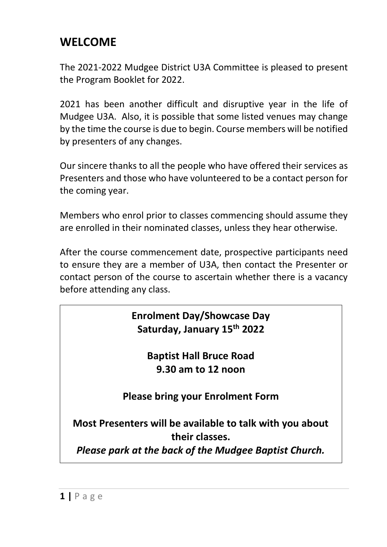### **WELCOME**

The 2021-2022 Mudgee District U3A Committee is pleased to present the Program Booklet for 2022.

2021 has been another difficult and disruptive year in the life of Mudgee U3A. Also, it is possible that some listed venues may change by the time the course is due to begin. Course members will be notified by presenters of any changes.

Our sincere thanks to all the people who have offered their services as Presenters and those who have volunteered to be a contact person for the coming year.

Members who enrol prior to classes commencing should assume they are enrolled in their nominated classes, unless they hear otherwise.

After the course commencement date, prospective participants need to ensure they are a member of U3A, then contact the Presenter or contact person of the course to ascertain whether there is a vacancy before attending any class.

> **Enrolment Day/Showcase Day Saturday, January 15 th 2022**

> > **Baptist Hall Bruce Road 9.30 am to 12 noon**

**Please bring your Enrolment Form**

**Most Presenters will be available to talk with you about their classes.**

*Please park at the back of the Mudgee Baptist Church.*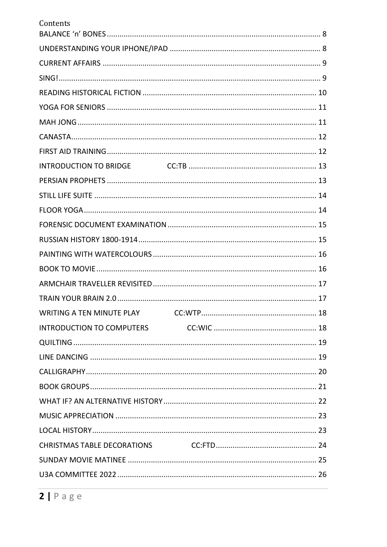| Contents |  |
|----------|--|
|          |  |
|          |  |
|          |  |
|          |  |
|          |  |
|          |  |
|          |  |
|          |  |
|          |  |
|          |  |
|          |  |
|          |  |
|          |  |
|          |  |
|          |  |
|          |  |
|          |  |
|          |  |
|          |  |
|          |  |
|          |  |
|          |  |
|          |  |
|          |  |
|          |  |
|          |  |
|          |  |
|          |  |
|          |  |
|          |  |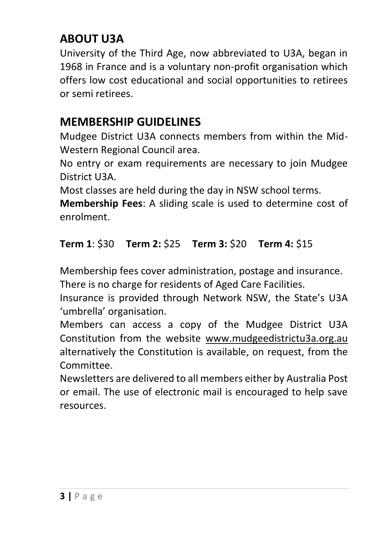### **ABOUT U3A**

University of the Third Age, now abbreviated to U3A, began in 1968 in France and is a voluntary non-profit organisation which offers low cost educational and social opportunities to retirees or semi retirees.

### **MEMBERSHIP GUIDELINES**

Mudgee District U3A connects members from within the Mid-Western Regional Council area.

No entry or exam requirements are necessary to join Mudgee District U3A.

Most classes are held during the day in NSW school terms.

**Membership Fees**: A sliding scale is used to determine cost of enrolment.

### **Term 1**: \$30 **Term 2:** \$25 **Term 3:** \$20 **Term 4:** \$15

Membership fees cover administration, postage and insurance. There is no charge for residents of Aged Care Facilities.

Insurance is provided through Network NSW, the State's U3A 'umbrella' organisation.

Members can access a copy of the Mudgee District U3A Constitution from the website [www.mudgeedistrictu3a.org.au](http://www.mudgeedistrictu3a.org.au/) alternatively the Constitution is available, on request, from the Committee.

Newsletters are delivered to all members either by Australia Post or email. The use of electronic mail is encouraged to help save resources.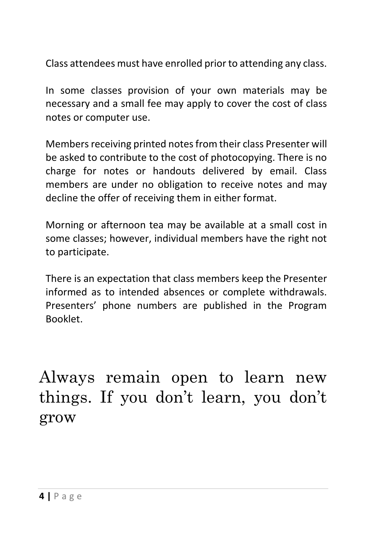Class attendees must have enrolled prior to attending any class.

In some classes provision of your own materials may be necessary and a small fee may apply to cover the cost of class notes or computer use.

Members receiving printed notes from their class Presenter will be asked to contribute to the cost of photocopying. There is no charge for notes or handouts delivered by email. Class members are under no obligation to receive notes and may decline the offer of receiving them in either format.

Morning or afternoon tea may be available at a small cost in some classes; however, individual members have the right not to participate.

There is an expectation that class members keep the Presenter informed as to intended absences or complete withdrawals. Presenters' phone numbers are published in the Program Booklet.

Always remain open to learn new things. If you don't learn, you don't grow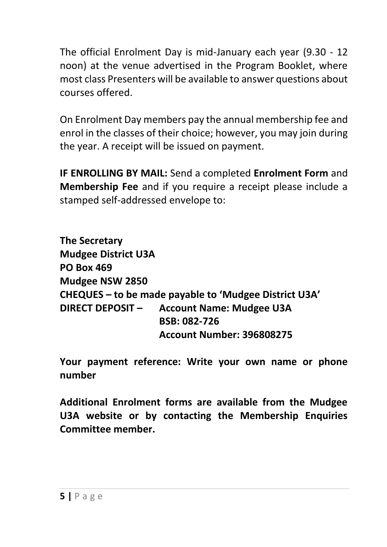The official Enrolment Day is mid-January each year (9.30 - 12 noon) at the venue advertised in the Program Booklet, where most class Presenters will be available to answer questions about courses offered.

On Enrolment Day members pay the annual membership fee and enrol in the classes of their choice; however, you may join during the year. A receipt will be issued on payment.

**IF ENROLLING BY MAIL:** Send a completed **Enrolment Form** and **Membership Fee** and if you require a receipt please include a stamped self-addressed envelope to:

**The Secretary Mudgee District U3A PO Box 469 Mudgee NSW 2850 CHEQUES – to be made payable to 'Mudgee District U3A' DIRECT DEPOSIT – Account Name: Mudgee U3A BSB: 082-726 Account Number: 396808275**

**Your payment reference: Write your own name or phone number**

**Additional Enrolment forms are available from the Mudgee U3A website or by contacting the Membership Enquiries Committee member.**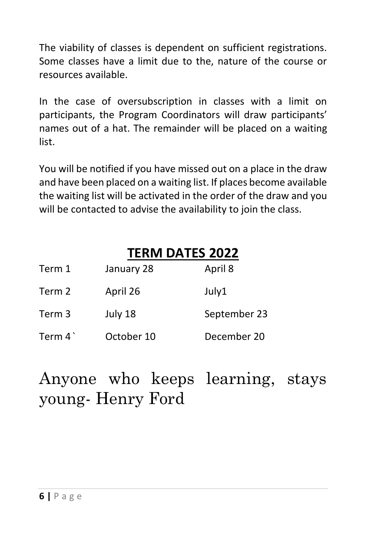The viability of classes is dependent on sufficient registrations. Some classes have a limit due to the, nature of the course or resources available.

In the case of oversubscription in classes with a limit on participants, the Program Coordinators will draw participants' names out of a hat. The remainder will be placed on a waiting list.

You will be notified if you have missed out on a place in the draw and have been placed on a waiting list. If places become available the waiting list will be activated in the order of the draw and you will be contacted to advise the availability to join the class.

### **TERM DATES 2022**

| Term 1   | January 28 | April 8      |
|----------|------------|--------------|
| Term 2   | April 26   | July1        |
| Term 3   | July 18    | September 23 |
| Term $4$ | October 10 | December 20  |

Anyone who keeps learning, stays young- Henry Ford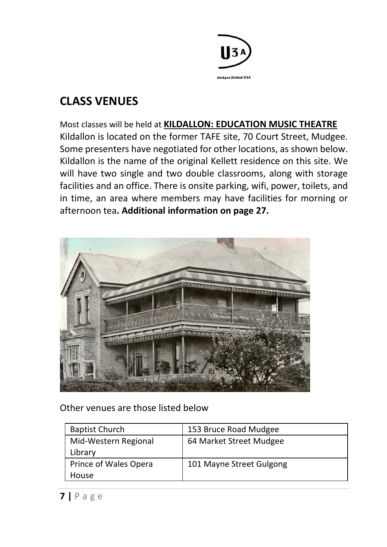

### **CLASS VENUES**

Most classes will be held at **KILDALLON: EDUCATION MUSIC THEATRE** Kildallon is located on the former TAFE site, 70 Court Street, Mudgee. Some presenters have negotiated for other locations, as shown below. Kildallon is the name of the original Kellett residence on this site. We will have two single and two double classrooms, along with storage facilities and an office. There is onsite parking, wifi, power, toilets, and in time, an area where members may have facilities for morning or afternoon tea**. Additional information on page 27.**



Other venues are those listed below

| <b>Baptist Church</b> | 153 Bruce Road Mudgee    |
|-----------------------|--------------------------|
| Mid-Western Regional  | 64 Market Street Mudgee  |
| Library               |                          |
| Prince of Wales Opera | 101 Mayne Street Gulgong |
| House                 |                          |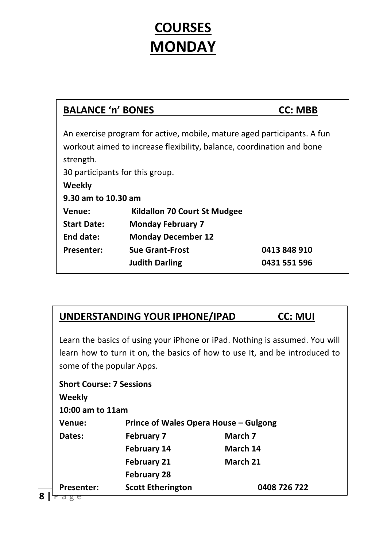# **COURSES MONDAY**

| <b>BALANCE 'n' BONES</b>        | <b>CC: MBB</b>                                                        |                                                                         |
|---------------------------------|-----------------------------------------------------------------------|-------------------------------------------------------------------------|
| strength.                       | workout aimed to increase flexibility, balance, coordination and bone | An exercise program for active, mobile, mature aged participants. A fun |
| 30 participants for this group. |                                                                       |                                                                         |
| Weekly                          |                                                                       |                                                                         |
| 9.30 am to 10.30 am             |                                                                       |                                                                         |
| Venue:                          | Kildallon 70 Court St Mudgee                                          |                                                                         |
| <b>Start Date:</b>              | <b>Monday February 7</b>                                              |                                                                         |
| End date:                       | <b>Monday December 12</b>                                             |                                                                         |
| <b>Presenter:</b>               | <b>Sue Grant-Frost</b><br><b>Judith Darling</b>                       | 0413 848 910<br>0431 551 596                                            |

| UNDERSTANDING YOUR IPHONE/IPAD | <b>CC: MUI</b> |
|--------------------------------|----------------|
|                                |                |

Learn the basics of using your iPhone or iPad. Nothing is assumed. You will learn how to turn it on, the basics of how to use It, and be introduced to some of the popular Apps.

| <b>Short Course: 7 Sessions</b> |                                       |              |
|---------------------------------|---------------------------------------|--------------|
| Weekly                          |                                       |              |
| 10:00 am to 11am                |                                       |              |
| Venue:                          | Prince of Wales Opera House – Gulgong |              |
| Dates:                          | <b>February 7</b>                     | March 7      |
|                                 | <b>February 14</b>                    | March 14     |
|                                 | <b>February 21</b>                    | March 21     |
|                                 | February 28                           |              |
| <b>Presenter:</b>               | <b>Scott Etherington</b>              | 0408 726 722 |
|                                 |                                       |              |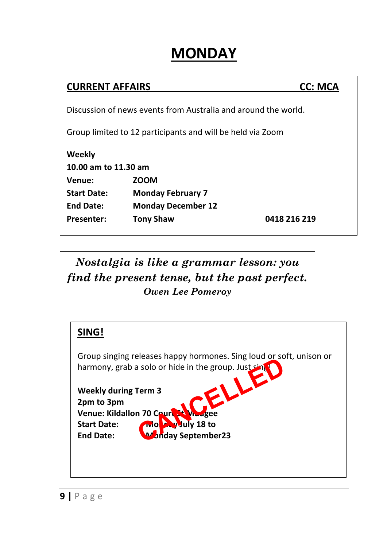# **MONDAY**

### **CURRENT AFFAIRS CC: MCA**

Discussion of news events from Australia and around the world.

Group limited to 12 participants and will be held via Zoom

**Weekly 10.00 am to 11.30 am Venue: ZOOM Start Date: Monday February 7 End Date: Monday December 12 Presenter: Tony Shaw 0418 216 219**

*Nostalgia is like a grammar lesson: you find the present tense, but the past perfect. Owen Lee Pomeroy*

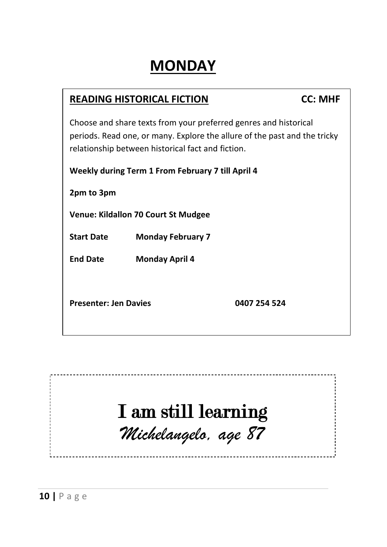# **MONDAY**

# **READING HISTORICAL FICTION CC: MHF** Choose and share texts from your preferred genres and historical periods. Read one, or many. Explore the allure of the past and the tricky relationship between historical fact and fiction. **Weekly during Term 1 From February 7 till April 4 2pm to 3pm Venue: Kildallon 70 Court St Mudgee Start Date Monday February 7 End Date Monday April 4 Presenter: Jen Davies 0407 254 524**

# I am still learning *Michelangelo, age 87*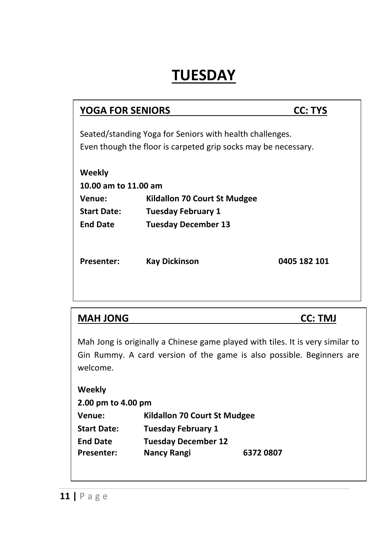# **TUESDAY**

| <b>YOGA FOR SENIORS</b>                                                                                                    |                                                                                                | <b>CC: TYS</b> |
|----------------------------------------------------------------------------------------------------------------------------|------------------------------------------------------------------------------------------------|----------------|
| Seated/standing Yoga for Seniors with health challenges.<br>Even though the floor is carpeted grip socks may be necessary. |                                                                                                |                |
| Weekly<br>10.00 am to 11.00 am<br>Venue:<br><b>Start Date:</b><br><b>End Date</b>                                          | <b>Kildallon 70 Court St Mudgee</b><br><b>Tuesday February 1</b><br><b>Tuesday December 13</b> |                |
| <b>Presenter:</b>                                                                                                          | <b>Kay Dickinson</b>                                                                           | 0405 182 101   |

| <b>MAH JONG</b>                        |                            | <b>CC: TMJ</b>                                                                                                                                          |
|----------------------------------------|----------------------------|---------------------------------------------------------------------------------------------------------------------------------------------------------|
| welcome.                               |                            | Mah Jong is originally a Chinese game played with tiles. It is very similar to<br>Gin Rummy. A card version of the game is also possible. Beginners are |
| Weekly<br>2.00 pm to 4.00 pm           |                            |                                                                                                                                                         |
| Kildallon 70 Court St Mudgee<br>Venue: |                            |                                                                                                                                                         |
| <b>Start Date:</b>                     | <b>Tuesday February 1</b>  |                                                                                                                                                         |
| <b>End Date</b>                        | <b>Tuesday December 12</b> |                                                                                                                                                         |
| <b>Presenter:</b>                      | Nancy Rangi                | 63720807                                                                                                                                                |
|                                        |                            |                                                                                                                                                         |

**11 |** P a g e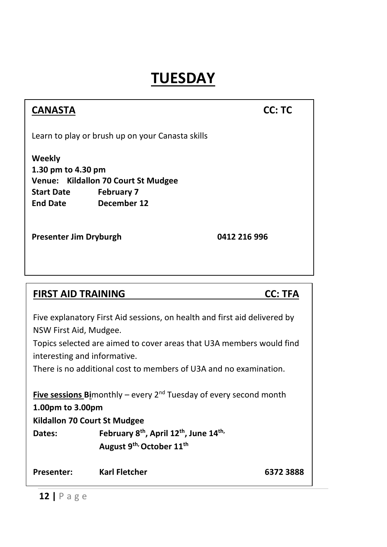# **TUESDAY**

| <b>CANASTA</b>                                                                                      |                                                                                | CC: TC         |
|-----------------------------------------------------------------------------------------------------|--------------------------------------------------------------------------------|----------------|
|                                                                                                     | Learn to play or brush up on your Canasta skills                               |                |
| Weekly<br>1.30 pm to 4.30 pm<br><b>Start Date</b><br><b>End Date</b>                                | Venue: Kildallon 70 Court St Mudgee<br><b>February 7</b><br>December 12        |                |
| <b>Presenter Jim Dryburgh</b>                                                                       |                                                                                | 0412 216 996   |
|                                                                                                     |                                                                                |                |
|                                                                                                     |                                                                                |                |
| <b>FIRST AID TRAINING</b>                                                                           |                                                                                | <b>CC: TFA</b> |
| Five explanatory First Aid sessions, on health and first aid delivered by<br>NSW First Aid, Mudgee. |                                                                                |                |
| Topics selected are aimed to cover areas that U3A members would find                                |                                                                                |                |
| interesting and informative.<br>There is no additional cost to members of U3A and no examination.   |                                                                                |                |
|                                                                                                     |                                                                                |                |
| 1.00pm to 3.00pm                                                                                    | <b>Five sessions Bi</b> monthly – every $2^{nd}$ Tuesday of every second month |                |
| Kildallon 70 Court St Mudgee                                                                        |                                                                                |                |
| Dates:                                                                                              | February 8 <sup>th</sup> , April 12 <sup>th</sup> , June 14 <sup>th,</sup>     |                |
|                                                                                                     | August 9 <sup>th,</sup> October 11 <sup>th</sup>                               |                |
| <b>Presenter:</b>                                                                                   | <b>Karl Fletcher</b>                                                           | 6372 3888      |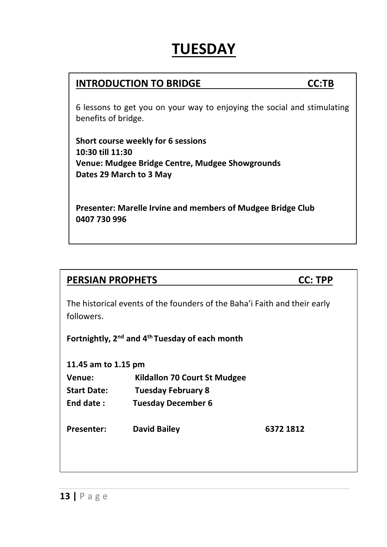# **TUESDAY**

### **INTRODUCTION TO BRIDGE CC:TB**

6 lessons to get you on your way to enjoying the social and stimulating benefits of bridge.

**Short course weekly for 6 sessions 10:30 till 11:30 Venue: Mudgee Bridge Centre, Mudgee Showgrounds Dates 29 March to 3 May**

**Presenter: Marelle Irvine and members of Mudgee Bridge Club 0407 730 996**

#### **PERSIAN PROPHETS CC: TPP**

The historical events of the founders of the Baha'i Faith and their early followers.

**Fortnightly, 2nd and 4th Tuesday of each month**

**11.45 am to 1.15 pm**

- **Venue: Kildallon 70 Court St Mudgee Start Date: Tuesday February 8**
- **End date : Tuesday December 6**

**Presenter: David Bailey 6372 1812**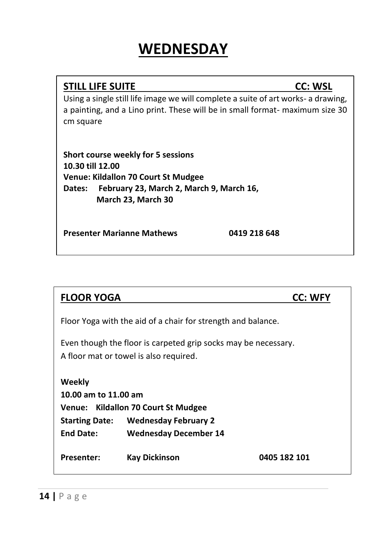#### **STILL LIFE SUITE CC: WSL**

Using a single still life image we will complete a suite of art works- a drawing, a painting, and a Lino print. These will be in small format- maximum size 30 cm square

**Short course weekly for 5 sessions 10.30 till 12.00 Venue: Kildallon 70 Court St Mudgee Dates: February 23, March 2, March 9, March 16, March 23, March 30**

**Presenter Marianne Mathews 0419 218 648**

| <b>FLOOR YOGA</b>                                                                                        |                                                              | CC: WFY      |
|----------------------------------------------------------------------------------------------------------|--------------------------------------------------------------|--------------|
|                                                                                                          | Floor Yoga with the aid of a chair for strength and balance. |              |
| Even though the floor is carpeted grip socks may be necessary.<br>A floor mat or towel is also required. |                                                              |              |
| Weekly                                                                                                   |                                                              |              |
| 10.00 am to 11.00 am                                                                                     |                                                              |              |
| Venue: Kildallon 70 Court St Mudgee                                                                      |                                                              |              |
|                                                                                                          | <b>Starting Date:</b> Wednesday February 2                   |              |
| <b>End Date:</b>                                                                                         | <b>Wednesday December 14</b>                                 |              |
| <b>Presenter:</b>                                                                                        | Kay Dickinson                                                | 0405 182 101 |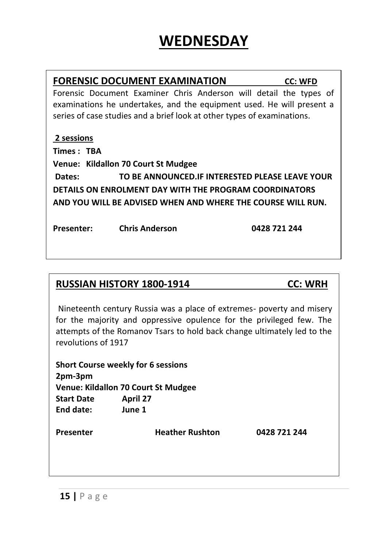|                                                        | <b>FORENSIC DOCUMENT EXAMINATION</b>                                    |  |              | <b>CC: WFD</b> |
|--------------------------------------------------------|-------------------------------------------------------------------------|--|--------------|----------------|
|                                                        | Forensic Document Examiner Chris Anderson will detail the types of      |  |              |                |
|                                                        | examinations he undertakes, and the equipment used. He will present a   |  |              |                |
|                                                        | series of case studies and a brief look at other types of examinations. |  |              |                |
|                                                        |                                                                         |  |              |                |
| 2 sessions                                             |                                                                         |  |              |                |
| Times : TBA                                            |                                                                         |  |              |                |
|                                                        | Venue: Kildallon 70 Court St Mudgee                                     |  |              |                |
| Dates:                                                 | TO BE ANNOUNCED. IF INTERESTED PLEASE LEAVE YOUR                        |  |              |                |
| DETAILS ON ENROLMENT DAY WITH THE PROGRAM COORDINATORS |                                                                         |  |              |                |
|                                                        | AND YOU WILL BE ADVISED WHEN AND WHERE THE COURSE WILL RUN.             |  |              |                |
|                                                        |                                                                         |  |              |                |
| <b>Presenter:</b>                                      | <b>Chris Anderson</b>                                                   |  | 0428 721 244 |                |
|                                                        |                                                                         |  |              |                |
|                                                        |                                                                         |  |              |                |
|                                                        |                                                                         |  |              |                |

### **RUSSIAN HISTORY 1800-1914 CC: WRH**

Nineteenth century Russia was a place of extremes- poverty and misery for the majority and oppressive opulence for the privileged few. The attempts of the Romanov Tsars to hold back change ultimately led to the revolutions of 1917

| <b>Short Course weekly for 6 sessions</b> |                 |  |
|-------------------------------------------|-----------------|--|
| 2pm-3pm                                   |                 |  |
| Venue: Kildallon 70 Court St Mudgee       |                 |  |
| <b>Start Date</b>                         | <b>April 27</b> |  |
| End date:                                 | June 1          |  |

**Presenter Heather Rushton 0428 721 244**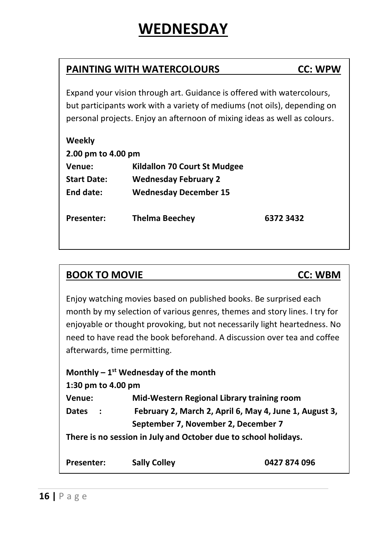### **PAINTING WITH WATERCOLOURS CC: WPW**

Expand your vision through art. Guidance is offered with watercolours, but participants work with a variety of mediums (not oils), depending on personal projects. Enjoy an afternoon of mixing ideas as well as colours.

| Weekly             |                              |           |
|--------------------|------------------------------|-----------|
| 2.00 pm to 4.00 pm |                              |           |
| Venue:             | Kildallon 70 Court St Mudgee |           |
| <b>Start Date:</b> | <b>Wednesday February 2</b>  |           |
| End date:          | <b>Wednesday December 15</b> |           |
| <b>Presenter:</b>  | Thelma Beechev               | 6372 3432 |

### **BOOK TO MOVIE CC: WBM**

enjoyable or thought provoking, but not necessarily light heartedness. No need to have read the book beforehand. A discussion over tea and coffee beginner….. Enjoy watching movies based on published books. Be surprised each month by my selection of various genres, themes and story lines. I try for afterwards, time permitting.

#### **Monthly – 1 st Wednesday of the month**

#### **1:30 pm to 4.00 pm**

**Venue: Mid-Western Regional Library training room** 

**Dates : February 2, March 2, April 6, May 4, June 1, August 3, September 7, November 2, December 7**

**There is no session in July and October due to school holidays.**

| <b>Presenter:</b> | <b>Sally Colley</b> | 0427 874 096 |
|-------------------|---------------------|--------------|
|-------------------|---------------------|--------------|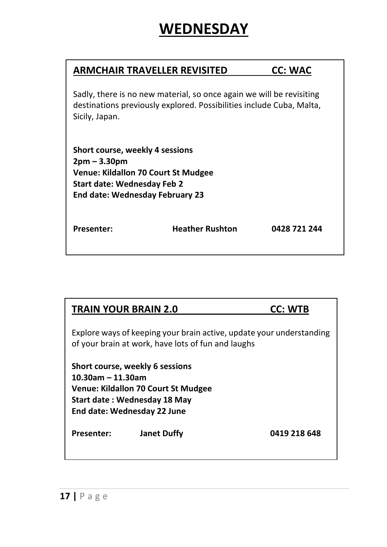| ARMCHAIR TRAVELLER REVISITED                                                                                                                                      |                        | <b>CC: WAC</b> |  |
|-------------------------------------------------------------------------------------------------------------------------------------------------------------------|------------------------|----------------|--|
| Sadly, there is no new material, so once again we will be revisiting<br>destinations previously explored. Possibilities include Cuba, Malta,<br>Sicily, Japan.    |                        |                |  |
| Short course, weekly 4 sessions<br>$2pm - 3.30pm$<br>Venue: Kildallon 70 Court St Mudgee<br>Start date: Wednesday Feb 2<br><b>End date: Wednesday February 23</b> |                        |                |  |
| <b>Presenter:</b>                                                                                                                                                 | <b>Heather Rushton</b> | 0428 721 244   |  |

| <b>TRAIN YOUR BRAIN 2.0</b> |                                                                                                                                       | <b>CC: WTB</b>                                                       |
|-----------------------------|---------------------------------------------------------------------------------------------------------------------------------------|----------------------------------------------------------------------|
|                             | of your brain at work, have lots of fun and laughs                                                                                    | Explore ways of keeping your brain active, update your understanding |
| 10.30am – 11.30am           | Short course, weekly 6 sessions<br>Venue: Kildallon 70 Court St Mudgee<br>Start date: Wednesday 18 May<br>End date: Wednesday 22 June |                                                                      |
| <b>Presenter:</b>           | <b>Janet Duffy</b>                                                                                                                    | 0419 218 648                                                         |
|                             |                                                                                                                                       |                                                                      |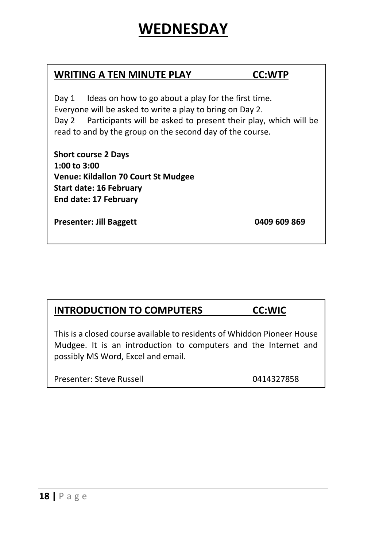#### **WRITING A TEN MINUTE PLAY CC:WTP**

Day 1 Ideas on how to go about a play for the first time. Everyone will be asked to write a play to bring on Day 2. Day 2 Participants will be asked to present their play, which will be read to and by the group on the second day of the course.

**Short course 2 Days 1:00 to 3:00 Venue: Kildallon 70 Court St Mudgee Start date: 16 February End date: 17 February**

**Presenter: Jill Baggett 0409 609 869**

### **INTRODUCTION TO COMPUTERS CC:WIC**

This is a closed course available to residents of Whiddon Pioneer House Mudgee. It is an introduction to computers and the Internet and possibly MS Word, Excel and email.

Presenter: Steve Russell **Department COLLEGATE** 0414327858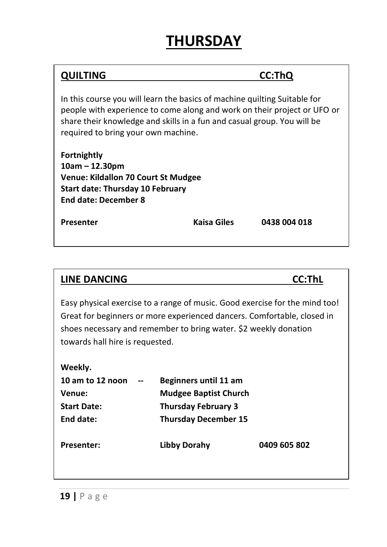### **QUILTING CC:ThQ**

In this course you will learn the basics of machine quilting Suitable for people with experience to come along and work on their project or UFO or share their knowledge and skills in a fun and casual group. You will be required to bring your own machine.

**Fortnightly 10am – 12.30pm Venue: Kildallon 70 Court St Mudgee Start date: Thursday 10 February End date: December 8**

**Presenter Kaisa Giles 0438 004 018**

#### **LINE DANCING CC:ThL**

Easy physical exercise to a range of music. Good exercise for the mind too! Great for beginners or more experienced dancers. Comfortable, closed in shoes necessary and remember to bring water. \$2 weekly donation towards hall hire is requested.

#### **Weekly.**

| 10 am to 12 noon<br>Venue: | $- -$ | Beginners until 11 am<br><b>Mudgee Baptist Church</b> |              |
|----------------------------|-------|-------------------------------------------------------|--------------|
| <b>Start Date:</b>         |       | <b>Thursday February 3</b>                            |              |
| End date:                  |       | <b>Thursday December 15</b>                           |              |
| <b>Presenter:</b>          |       | Libby Dorahy                                          | 0409 605 802 |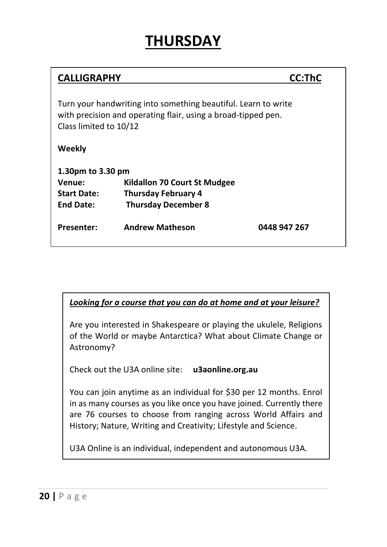| <b>CALLIGRAPHY</b>                                                                                                                                        |                              | <b>CC:ThC</b> |  |  |
|-----------------------------------------------------------------------------------------------------------------------------------------------------------|------------------------------|---------------|--|--|
| Turn your handwriting into something beautiful. Learn to write<br>with precision and operating flair, using a broad-tipped pen.<br>Class limited to 10/12 |                              |               |  |  |
| Weekly                                                                                                                                                    |                              |               |  |  |
| 1.30pm to 3.30 pm                                                                                                                                         |                              |               |  |  |
| Venue:                                                                                                                                                    | Kildallon 70 Court St Mudgee |               |  |  |
| <b>Start Date:</b>                                                                                                                                        | <b>Thursday February 4</b>   |               |  |  |
| <b>End Date:</b>                                                                                                                                          | <b>Thursday December 8</b>   |               |  |  |
| <b>Presenter:</b>                                                                                                                                         | <b>Andrew Matheson</b>       | 0448 947 267  |  |  |

#### *Looking for a course that you can do at home and at your leisure?*

Are you interested in Shakespeare or playing the ukulele, Religions of the World or maybe Antarctica? What about Climate Change or Astronomy?

Check out the U3A online site: **u3aonline.org.au**

You can join anytime as an individual for \$30 per 12 months. Enrol in as many courses as you like once you have joined. Currently there are 76 courses to choose from ranging across World Affairs and History; Nature, Writing and Creativity; Lifestyle and Science.

U3A Online is an individual, independent and autonomous U3A.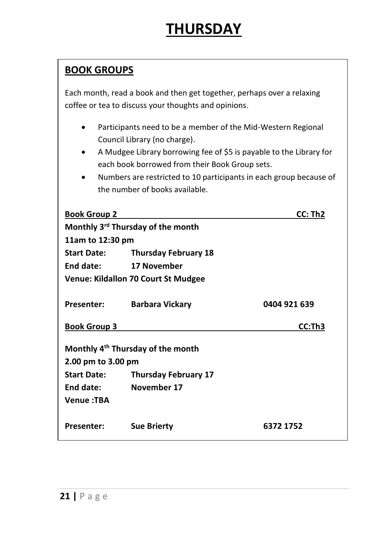### **BOOK GROUPS**

Each month, read a book and then get together, perhaps over a relaxing coffee or tea to discuss your thoughts and opinions.

- Participants need to be a member of the Mid-Western Regional Council Library (no charge).
- A Mudgee Library borrowing fee of \$5 is payable to the Library for each book borrowed from their Book Group sets.
- Numbers are restricted to 10 participants in each group because of the number of books available.

| <b>Book Group 2</b>                           |                                            | CC: Th <sub>2</sub> |  |  |
|-----------------------------------------------|--------------------------------------------|---------------------|--|--|
| Monthly 3rd Thursday of the month             |                                            |                     |  |  |
| 11am to 12:30 pm                              |                                            |                     |  |  |
| <b>Start Date:</b>                            | <b>Thursday February 18</b>                |                     |  |  |
| End date:                                     | 17 November                                |                     |  |  |
|                                               | <b>Venue: Kildallon 70 Court St Mudgee</b> |                     |  |  |
| <b>Presenter:</b>                             | <b>Barbara Vickary</b>                     | 0404 921 639        |  |  |
| <b>Book Group 3</b>                           |                                            | CC:Th3              |  |  |
| Monthly 4 <sup>th</sup> Thursday of the month |                                            |                     |  |  |
| 2.00 pm to 3.00 pm                            |                                            |                     |  |  |
| <b>Start Date:</b>                            | <b>Thursday February 17</b>                |                     |  |  |
| End date:                                     | November 17                                |                     |  |  |
| <b>Venue:TBA</b>                              |                                            |                     |  |  |
| <b>Presenter:</b>                             | <b>Sue Brierty</b>                         | 6372 1752           |  |  |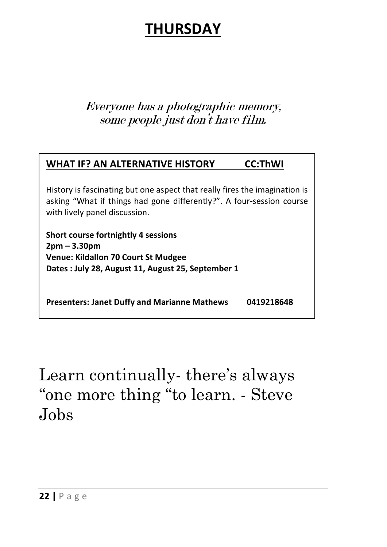### Everyone has a photographic memory, some people just don't have film.

### **WHAT IF? AN ALTERNATIVE HISTORY CC:ThWI** History is fascinating but one aspect that really fires the imagination is asking "What if things had gone differently?". A four-session course with lively panel discussion. **Short course fortnightly 4 sessions 2pm – 3.30pm Venue: Kildallon 70 Court St Mudgee Dates : July 28, August 11, August 25, September 1 Presenters: Janet Duffy and Marianne Mathews 0419218648**

Learn continually- there's always "one more thing "to learn. - Steve Jobs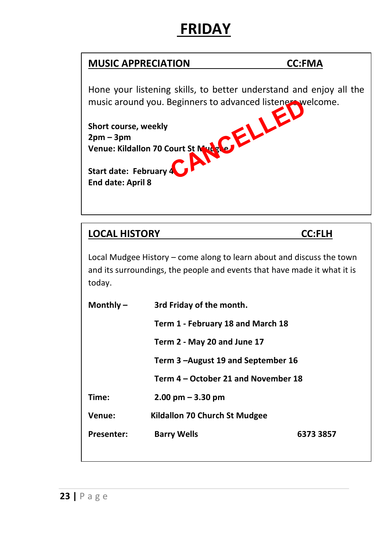# **FRIDAY**

### **MUSIC APPRECIATION CC:FMA**

Hone your listening skills, to better understand and enjoy all the music around you. Beginners to advanced listeners welcome. Beginners to advanced listeness

**Short course, weekly 2pm – 3pm Venue: Kildallon 70 Court St Mudgee**

**Start date: February 4 End date: April 8**

### **LOCAL HISTORY CC:FLH**

Local Mudgee History – come along to learn about and discuss the town and its surroundings, the people and events that have made it what it is today.

| Monthly $-$       | 3rd Friday of the month.            |           |  |
|-------------------|-------------------------------------|-----------|--|
|                   | Term 1 - February 18 and March 18   |           |  |
|                   | Term 2 - May 20 and June 17         |           |  |
|                   | Term 3 -August 19 and September 16  |           |  |
|                   | Term 4 – October 21 and November 18 |           |  |
| Time:             | $2.00 \text{ pm} - 3.30 \text{ pm}$ |           |  |
| Venue:            | Kildallon 70 Church St Mudgee       |           |  |
| <b>Presenter:</b> | <b>Barry Wells</b>                  | 6373 3857 |  |
|                   |                                     |           |  |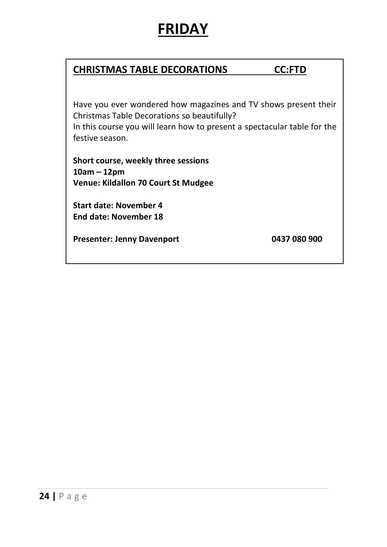## **FRIDAY**

### **CHRISTMAS TABLE DECORATIONS CC:FTD**

Have you ever wondered how magazines and TV shows present their Christmas Table Decorations so beautifully? In this course you will learn how to present a spectacular table for the festive season.

**Short course, weekly three sessions 10am – 12pm Venue: Kildallon 70 Court St Mudgee**

**Start date: November 4 End date: November 18**

**Presenter: Jenny Davenport 0437 080 900**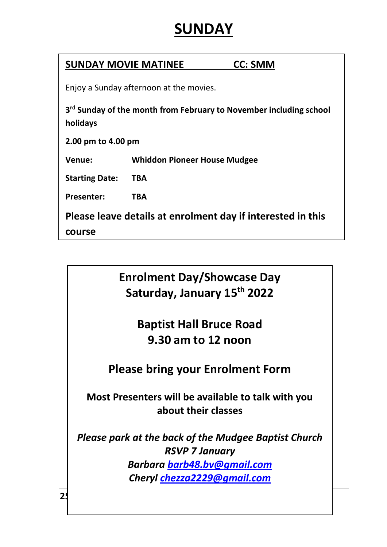## **SUNDAY**

### **SUNDAY MOVIE MATINEE CC: SMM**

Enjoy a Sunday afternoon at the movies.

**3 rd Sunday of the month from February to November including school holidays**

**2.00 pm to 4.00 pm**

**Venue: Whiddon Pioneer House Mudgee**

**Starting Date: TBA**

**Presenter: TBA**

**Please leave details at enrolment day if interested in this** 

**course**

 **Saturday, January 15 th 2022 Enrolment Day/Showcase Day**

> **Baptist Hall Bruce Road 9.30 am to 12 noon**

**Please bring your Enrolment Form**

**Most Presenters will be available to talk with you about their classes**

*Please park at the back of the Mudgee Baptist Church RSVP 7 January Barbara [barb48.bv@gmail.com](mailto:barb48.bv@gmail.com) Cheryl [chezza2229@gmail.com](mailto:chezza2229@gmail.com)*

 $25$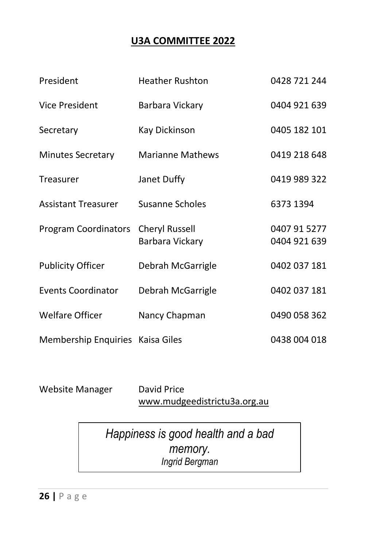### **U3A COMMITTEE 2022**

<span id="page-25-0"></span>

| President                        | <b>Heather Rushton</b>                   | 0428 721 244                 |
|----------------------------------|------------------------------------------|------------------------------|
| Vice President                   | Barbara Vickary                          | 0404 921 639                 |
| Secretary                        | Kay Dickinson                            | 0405 182 101                 |
| <b>Minutes Secretary</b>         | Marianne Mathews                         | 0419 218 648                 |
| Treasurer                        | Janet Duffy                              | 0419 989 322                 |
| <b>Assistant Treasurer</b>       | Susanne Scholes                          | 6373 1394                    |
| Program Coordinators             | <b>Cheryl Russell</b><br>Barbara Vickary | 0407 91 5277<br>0404 921 639 |
| <b>Publicity Officer</b>         | Debrah McGarrigle                        | 0402 037 181                 |
| Events Coordinator               | Debrah McGarrigle                        | 0402 037 181                 |
| <b>Welfare Officer</b>           | Nancy Chapman                            | 0490 058 362                 |
| Membership Enquiries Kaisa Giles |                                          | 0438 004 018                 |

Website Manager David Price

[www.mudgeedistrictu3a.org.au](http://www.mudgeedistrictu3a.org.au/)

*Happiness is good health and a bad memory. Ingrid Bergman*

**26 |** P a g e